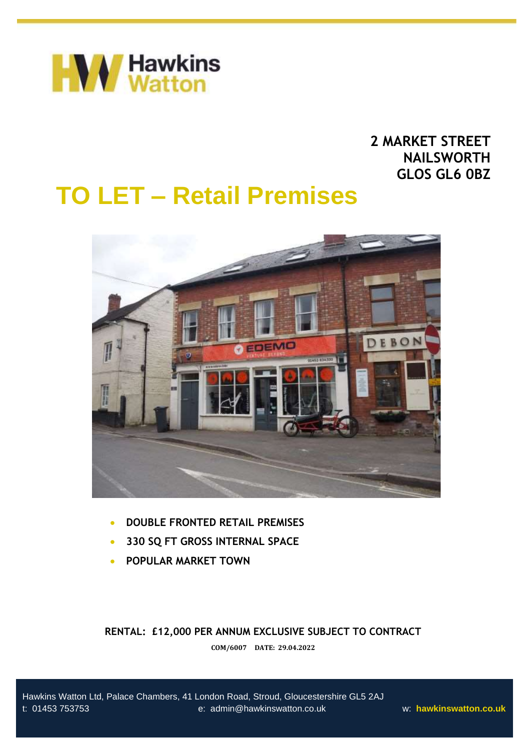

# **2 MARKET STREET NAILSWORTH GLOS GL6 0BZ**

# **TO LET – Retail Premises**



- **DOUBLE FRONTED RETAIL PREMISES**
- **330 SQ FT GROSS INTERNAL SPACE**
- **POPULAR MARKET TOWN**

**RENTAL: £12,000 PER ANNUM EXCLUSIVE SUBJECT TO CONTRACT**

**COM/6007 DATE: 29.04.2022**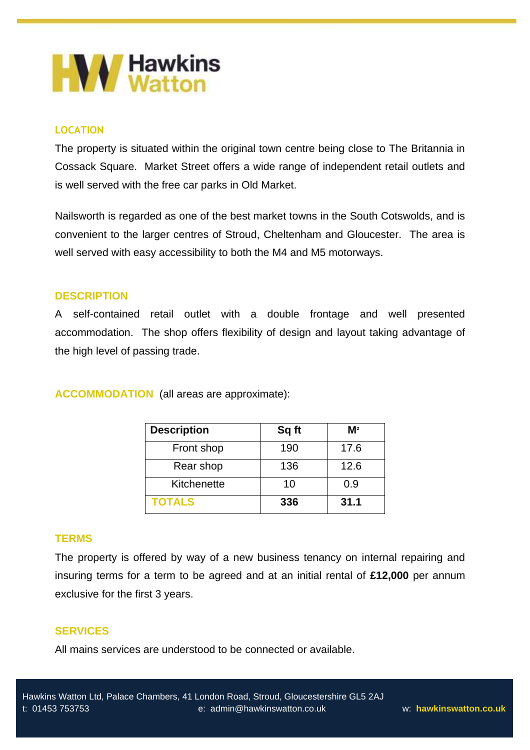

# **LOCATION**

The property is situated within the original town centre being close to The Britannia in Cossack Square. Market Street offers a wide range of independent retail outlets and is well served with the free car parks in Old Market.

Nailsworth is regarded as one of the best market towns in the South Cotswolds, and is convenient to the larger centres of Stroud, Cheltenham and Gloucester. The area is well served with easy accessibility to both the M4 and M5 motorways.

# **DESCRIPTION**

A self-contained retail outlet with a double frontage and well presented accommodation. The shop offers flexibility of design and layout taking advantage of the high level of passing trade.

**ACCOMMODATION** (all areas are approximate):

| <b>Description</b> | Sq ft | M <sup>2</sup> |
|--------------------|-------|----------------|
| Front shop         | 190   | 17.6           |
| Rear shop          | 136   | 12.6           |
| Kitchenette        | 10    | 0.9            |
| <b>TOTALS</b>      | 336   | 31.1           |

## **TERMS**

The property is offered by way of a new business tenancy on internal repairing and insuring terms for a term to be agreed and at an initial rental of **£12,000** per annum exclusive for the first 3 years.

# **SERVICES**

All mains services are understood to be connected or available.